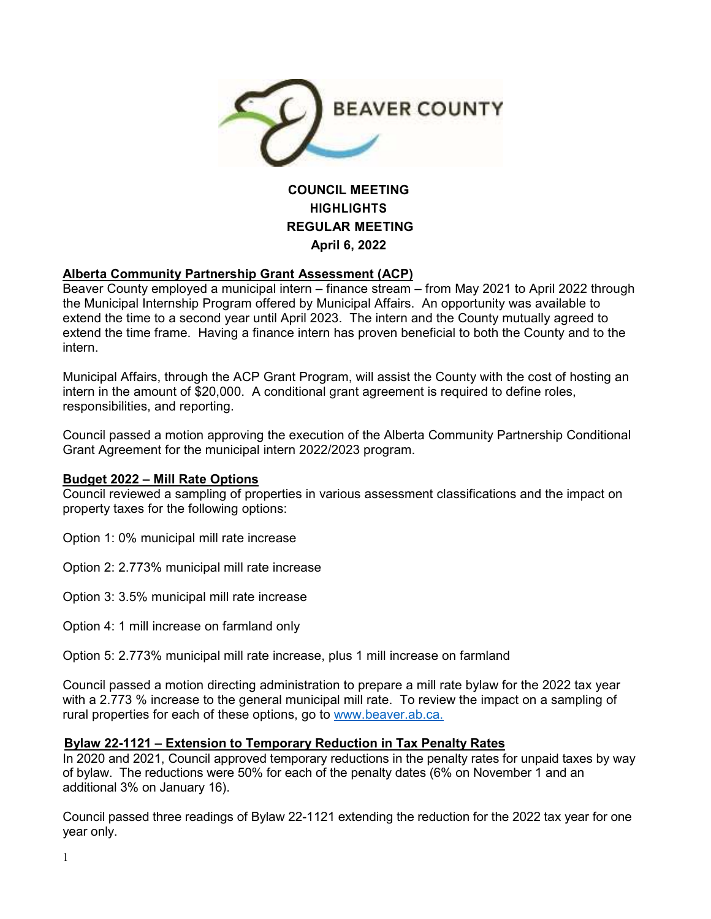

# **COUNCIL MEETING HIGHLIGHTS REGULAR MEETING April 6, 2022**

### **Alberta Community Partnership Grant Assessment (ACP)**

Beaver County employed a municipal intern – finance stream – from May 2021 to April 2022 through the Municipal Internship Program offered by Municipal Affairs. An opportunity was available to extend the time to a second year until April 2023. The intern and the County mutually agreed to extend the time frame. Having a finance intern has proven beneficial to both the County and to the intern.

Municipal Affairs, through the ACP Grant Program, will assist the County with the cost of hosting an intern in the amount of \$20,000. A conditional grant agreement is required to define roles, responsibilities, and reporting.

Council passed a motion approving the execution of the Alberta Community Partnership Conditional Grant Agreement for the municipal intern 2022/2023 program.

### **Budget 2022 – Mill Rate Options**

Council reviewed a sampling of properties in various assessment classifications and the impact on property taxes for the following options:

Option 1: 0% municipal mill rate increase

Option 2: 2.773% municipal mill rate increase

Option 3: 3.5% municipal mill rate increase

Option 4: 1 mill increase on farmland only

Option 5: 2.773% municipal mill rate increase, plus 1 mill increase on farmland

Council passed a motion directing administration to prepare a mill rate bylaw for the 2022 tax year with a 2.773 % increase to the general municipal mill rate. To review the impact on a sampling of rural properties for each of these options, go to www.beaver.ab.ca.

### **Bylaw 22-1121 – Extension to Temporary Reduction in Tax Penalty Rates**

In 2020 and 2021, Council approved temporary reductions in the penalty rates for unpaid taxes by way of bylaw. The reductions were 50% for each of the penalty dates (6% on November 1 and an additional 3% on January 16).

Council passed three readings of Bylaw 22-1121 extending the reduction for the 2022 tax year for one year only.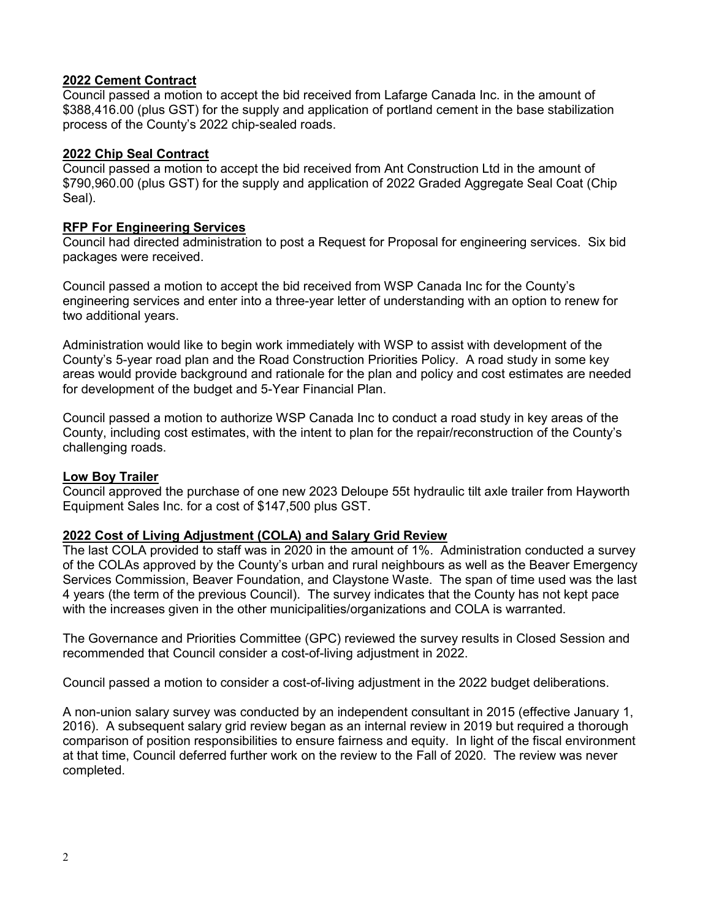### **2022 Cement Contract**

Council passed a motion to accept the bid received from Lafarge Canada Inc. in the amount of \$388,416.00 (plus GST) for the supply and application of portland cement in the base stabilization process of the County's 2022 chip-sealed roads.

### **2022 Chip Seal Contract**

Council passed a motion to accept the bid received from Ant Construction Ltd in the amount of \$790,960.00 (plus GST) for the supply and application of 2022 Graded Aggregate Seal Coat (Chip Seal).

### **RFP For Engineering Services**

Council had directed administration to post a Request for Proposal for engineering services. Six bid packages were received.

Council passed a motion to accept the bid received from WSP Canada Inc for the County's engineering services and enter into a three-year letter of understanding with an option to renew for two additional years.

Administration would like to begin work immediately with WSP to assist with development of the County's 5-year road plan and the Road Construction Priorities Policy. A road study in some key areas would provide background and rationale for the plan and policy and cost estimates are needed for development of the budget and 5-Year Financial Plan.

Council passed a motion to authorize WSP Canada Inc to conduct a road study in key areas of the County, including cost estimates, with the intent to plan for the repair/reconstruction of the County's challenging roads.

## **Low Boy Trailer**

Council approved the purchase of one new 2023 Deloupe 55t hydraulic tilt axle trailer from Hayworth Equipment Sales Inc. for a cost of \$147,500 plus GST.

## **2022 Cost of Living Adjustment (COLA) and Salary Grid Review**

The last COLA provided to staff was in 2020 in the amount of 1%. Administration conducted a survey of the COLAs approved by the County's urban and rural neighbours as well as the Beaver Emergency Services Commission, Beaver Foundation, and Claystone Waste. The span of time used was the last 4 years (the term of the previous Council). The survey indicates that the County has not kept pace with the increases given in the other municipalities/organizations and COLA is warranted.

The Governance and Priorities Committee (GPC) reviewed the survey results in Closed Session and recommended that Council consider a cost-of-living adjustment in 2022.

Council passed a motion to consider a cost-of-living adjustment in the 2022 budget deliberations.

A non-union salary survey was conducted by an independent consultant in 2015 (effective January 1, 2016). A subsequent salary grid review began as an internal review in 2019 but required a thorough comparison of position responsibilities to ensure fairness and equity. In light of the fiscal environment at that time, Council deferred further work on the review to the Fall of 2020. The review was never completed.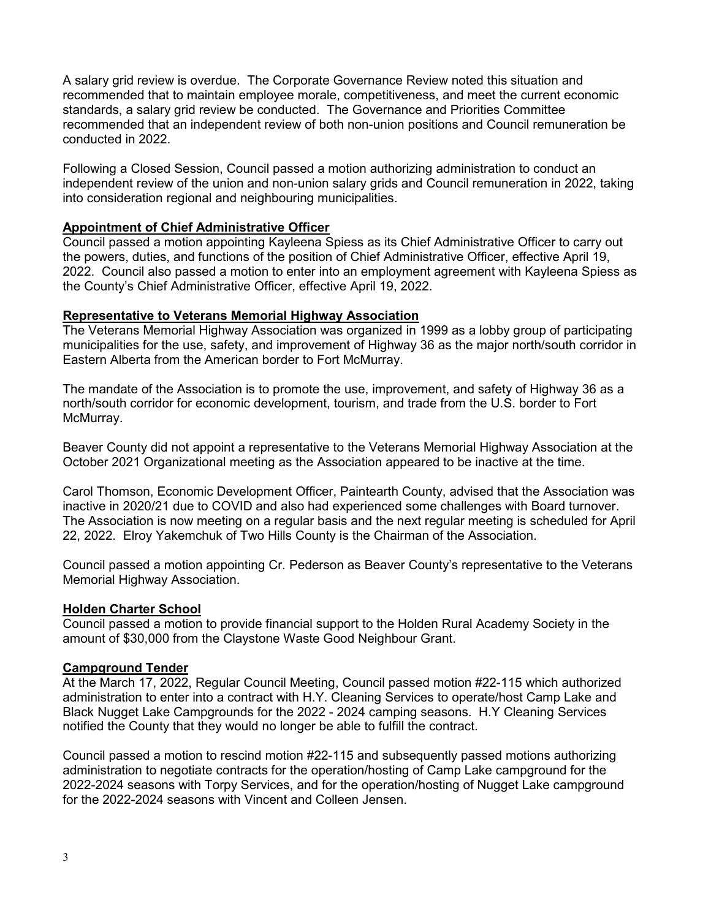A salary grid review is overdue. The Corporate Governance Review noted this situation and recommended that to maintain employee morale, competitiveness, and meet the current economic standards, a salary grid review be conducted. The Governance and Priorities Committee recommended that an independent review of both non-union positions and Council remuneration be conducted in 2022.

Following a Closed Session, Council passed a motion authorizing administration to conduct an independent review of the union and non-union salary grids and Council remuneration in 2022, taking into consideration regional and neighbouring municipalities.

### **Appointment of Chief Administrative Officer**

Council passed a motion appointing Kayleena Spiess as its Chief Administrative Officer to carry out the powers, duties, and functions of the position of Chief Administrative Officer, effective April 19, 2022. Council also passed a motion to enter into an employment agreement with Kayleena Spiess as the County's Chief Administrative Officer, effective April 19, 2022.

#### **Representative to Veterans Memorial Highway Association**

The Veterans Memorial Highway Association was organized in 1999 as a lobby group of participating municipalities for the use, safety, and improvement of Highway 36 as the major north/south corridor in Eastern Alberta from the American border to Fort McMurray.

The mandate of the Association is to promote the use, improvement, and safety of Highway 36 as a north/south corridor for economic development, tourism, and trade from the U.S. border to Fort McMurray.

Beaver County did not appoint a representative to the Veterans Memorial Highway Association at the October 2021 Organizational meeting as the Association appeared to be inactive at the time.

Carol Thomson, Economic Development Officer, Paintearth County, advised that the Association was inactive in 2020/21 due to COVID and also had experienced some challenges with Board turnover. The Association is now meeting on a regular basis and the next regular meeting is scheduled for April 22, 2022. Elroy Yakemchuk of Two Hills County is the Chairman of the Association.

Council passed a motion appointing Cr. Pederson as Beaver County's representative to the Veterans Memorial Highway Association.

#### **Holden Charter School**

Council passed a motion to provide financial support to the Holden Rural Academy Society in the amount of \$30,000 from the Claystone Waste Good Neighbour Grant.

### **Campground Tender**

At the March 17, 2022, Regular Council Meeting, Council passed motion #22-115 which authorized administration to enter into a contract with H.Y. Cleaning Services to operate/host Camp Lake and Black Nugget Lake Campgrounds for the 2022 - 2024 camping seasons. H.Y Cleaning Services notified the County that they would no longer be able to fulfill the contract.

Council passed a motion to rescind motion #22-115 and subsequently passed motions authorizing administration to negotiate contracts for the operation/hosting of Camp Lake campground for the 2022-2024 seasons with Torpy Services, and for the operation/hosting of Nugget Lake campground for the 2022-2024 seasons with Vincent and Colleen Jensen.